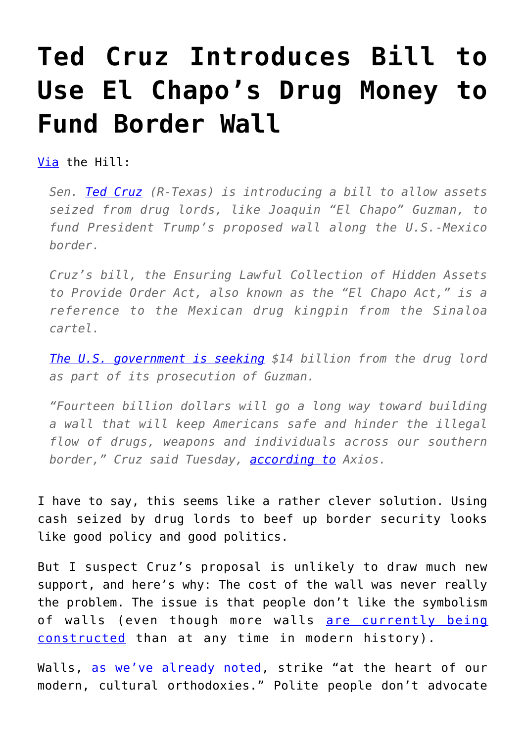## **[Ted Cruz Introduces Bill to](https://intellectualtakeout.org/2017/04/ted-cruz-introduces-bill-to-use-el-chapos-drug-money-to-fund-border-wall/) [Use El Chapo's Drug Money to](https://intellectualtakeout.org/2017/04/ted-cruz-introduces-bill-to-use-el-chapos-drug-money-to-fund-border-wall/) [Fund Border Wall](https://intellectualtakeout.org/2017/04/ted-cruz-introduces-bill-to-use-el-chapos-drug-money-to-fund-border-wall/)**

[Via](http://thehill.com/homenews/senate/330488-cruz-drug-lord-cash-can-fund-border-wall) the Hill:

*Sen. [Ted Cruz](http://thehill.com/people/ted-cruz) (R-Texas) is introducing a bill to allow assets seized from drug lords, like Joaquin "El Chapo" Guzman, to fund President Trump's proposed wall along the U.S.-Mexico border.*

*Cruz's bill, the Ensuring Lawful Collection of Hidden Assets to Provide Order Act, also known as the "El Chapo Act," is a reference to the Mexican drug kingpin from the Sinaloa cartel.*

*[The U.S. government is seeking](http://miami.cbslocal.com/2017/01/20/u-s-government-seeks-14-billion-in-el-chapo-case/) \$14 billion from the drug lord as part of its prosecution of Guzman.*

*"Fourteen billion dollars will go a long way toward building a wall that will keep Americans safe and hinder the illegal flow of drugs, weapons and individuals across our southern border," Cruz said Tuesday, [according to](https://www.axios.com/ted-cruz-introduces-el-chapo-act-to-pay-for-the-wall-2378374826.html) Axios.*

I have to say, this seems like a rather clever solution. Using cash seized by drug lords to beef up border security looks like good policy and good politics.

But I suspect Cruz's proposal is unlikely to draw much new support, and here's why: The cost of the wall was never really the problem. The issue is that people don't like the symbolism of walls (even though more walls [are currently being](https://www.intellectualtakeout.org/blog/more-walls-being-built-any-time-modern-history) [constructed](https://www.intellectualtakeout.org/blog/more-walls-being-built-any-time-modern-history) than at any time in modern history).

Walls, [as we've already noted,](https://www.intellectualtakeout.org/blog/one-reason-border-wall-makes-some-people-uncomfortable) strike "at the heart of our modern, cultural orthodoxies." Polite people don't advocate